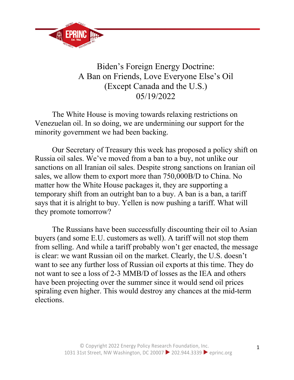

## Biden's Foreign Energy Doctrine: A Ban on Friends, Love Everyone Else's Oil (Except Canada and the U.S.) 05/19/2022

The White House is moving towards relaxing restrictions on Venezuelan oil. In so doing, we are undermining our support for the minority government we had been backing.

Our Secretary of Treasury this week has proposed a policy shift on Russia oil sales. We've moved from a ban to a buy, not unlike our sanctions on all Iranian oil sales. Despite strong sanctions on Iranian oil sales, we allow them to export more than 750,000B/D to China. No matter how the White House packages it, they are supporting a temporary shift from an outright ban to a buy. A ban is a ban, a tariff says that it is alright to buy. Yellen is now pushing a tariff. What will they promote tomorrow?

The Russians have been successfully discounting their oil to Asian buyers (and some E.U. customers as well). A tariff will not stop them from selling. And while a tariff probably won't ger enacted, the message is clear: we want Russian oil on the market. Clearly, the U.S. doesn't want to see any further loss of Russian oil exports at this time. They do not want to see a loss of 2-3 MMB/D of losses as the IEA and others have been projecting over the summer since it would send oil prices spiraling even higher. This would destroy any chances at the mid-term elections.